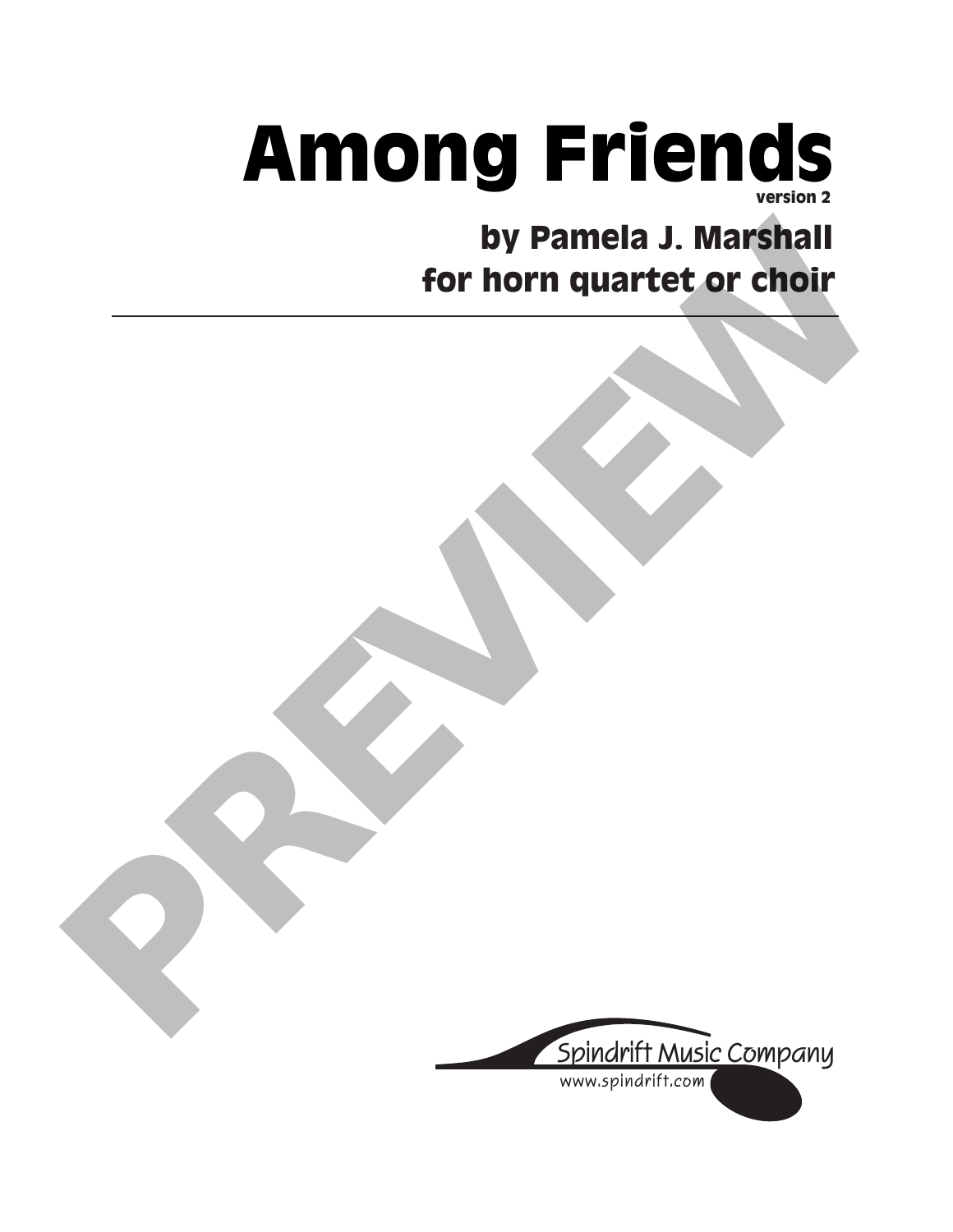# Among Friends version 2

# by Pamela J. Marshall for horn quartet or choir For horn quartet or choir

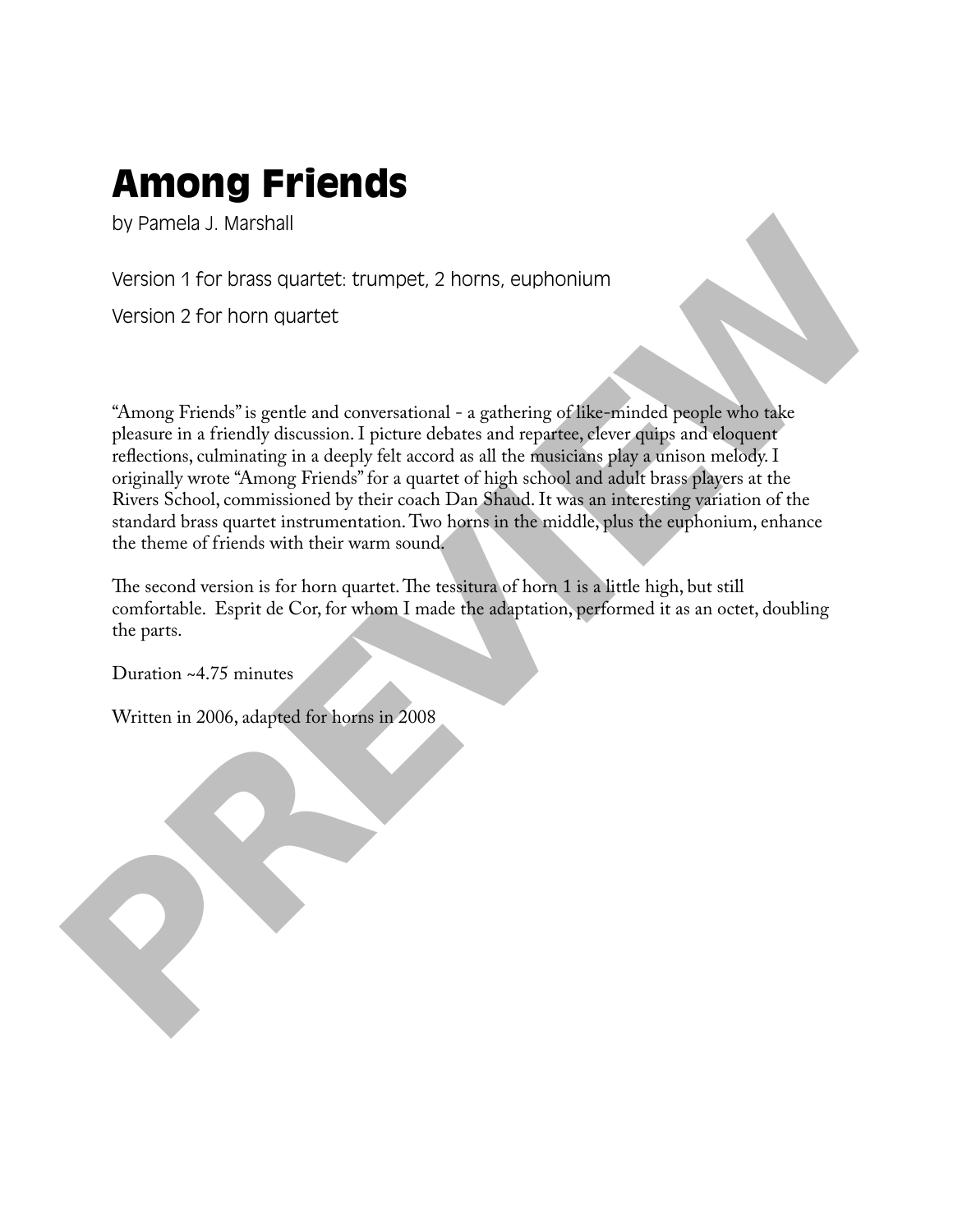# Among Friends

by Pamela J. Marshall

Version 1 for brass quartet: trumpet, 2 horns, euphonium

Version 2 for horn quartet

"Among Friends" is gentle and conversational - a gathering of like-minded people who take pleasure in a friendly discussion. I picture debates and repartee, clever quips and eloquent reflections, culminating in a deeply felt accord as all the musicians play a unison melody. I originally wrote "Among Friends" for a quartet of high school and adult brass players at the Rivers School, commissioned by their coach Dan Shaud. It was an interesting variation of the standard brass quartet instrumentation. Two horns in the middle, plus the euphonium, enhance the theme of friends with their warm sound. Version 1 for brass quartet: trumpet, 2 homs, euphonium<br>Version 2 for horn quartet<br>
"Among Priends" is gentle and conversational - a guidering of likewinded propie work<br>
pheasure in a friendly discussion. I picture debates

The second version is for horn quartet. The tessitura of horn 1 is a little high, but still comfortable. Esprit de Cor, for whom I made the adaptation, performed it as an octet, doubling the parts.

Duration ~4.75 minutes

Written in 2006, adapted for horns in 2008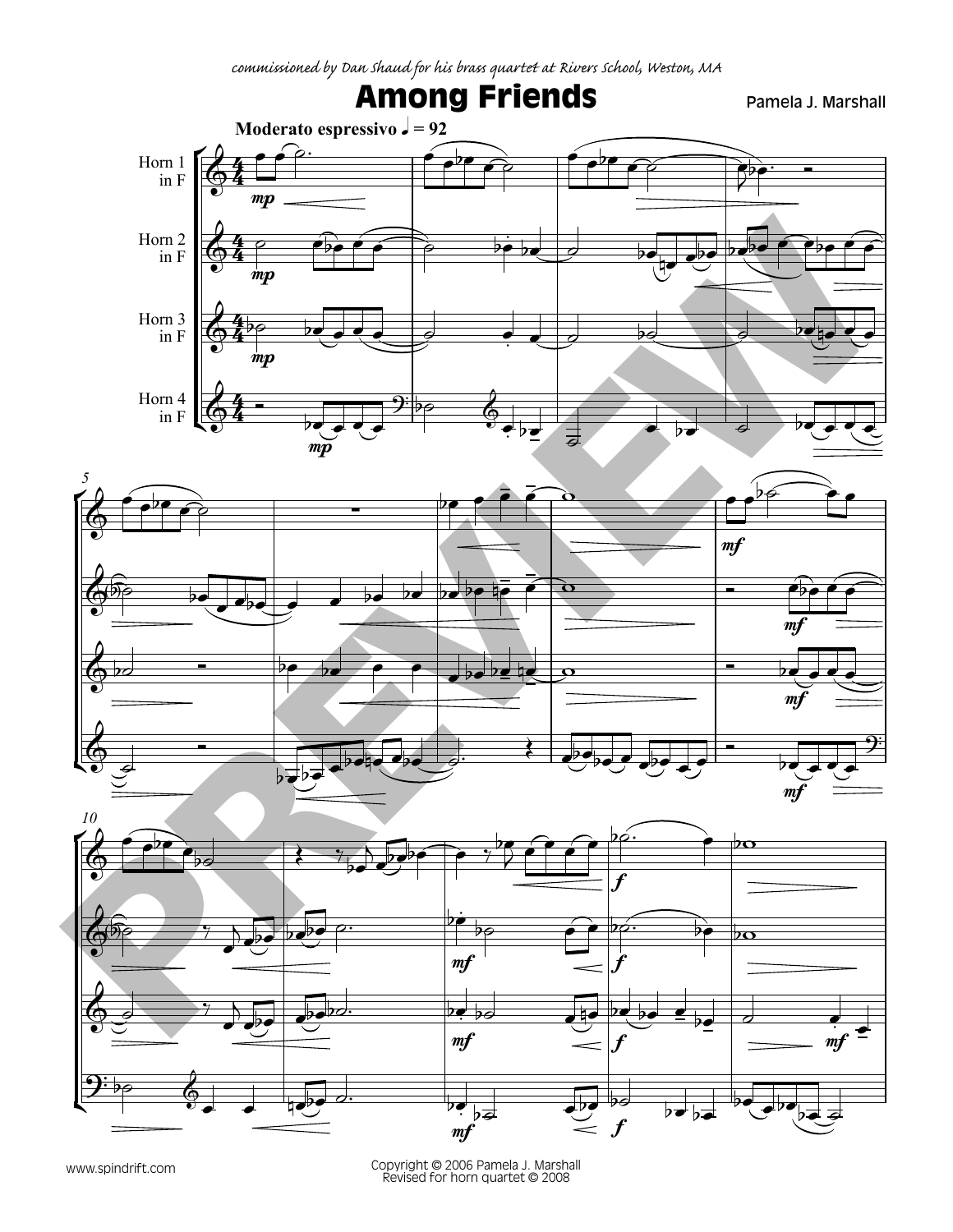



°

*5*

¢

Copyright © 2006 Pamela J. Marshall Revised for horn quartet © 2008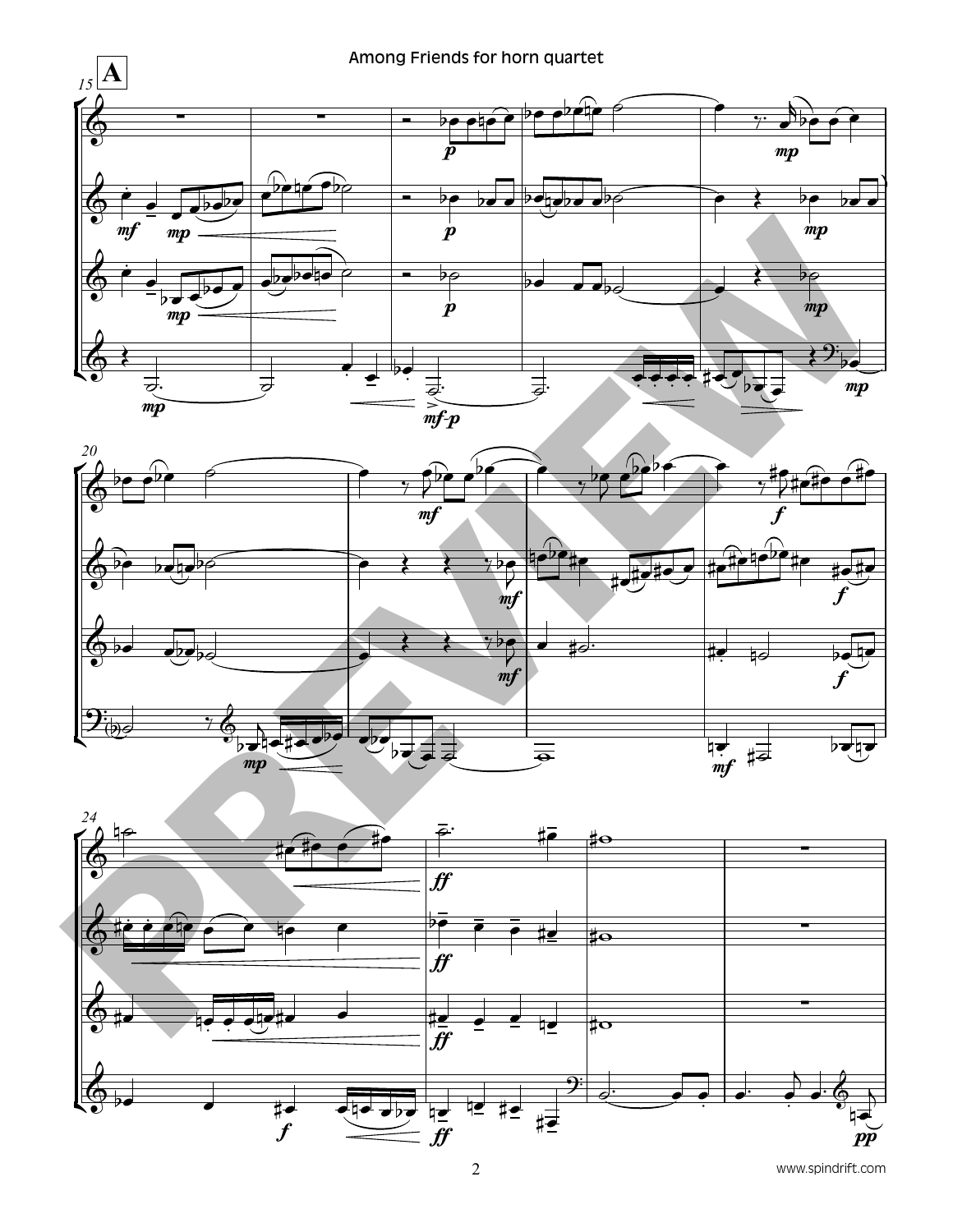



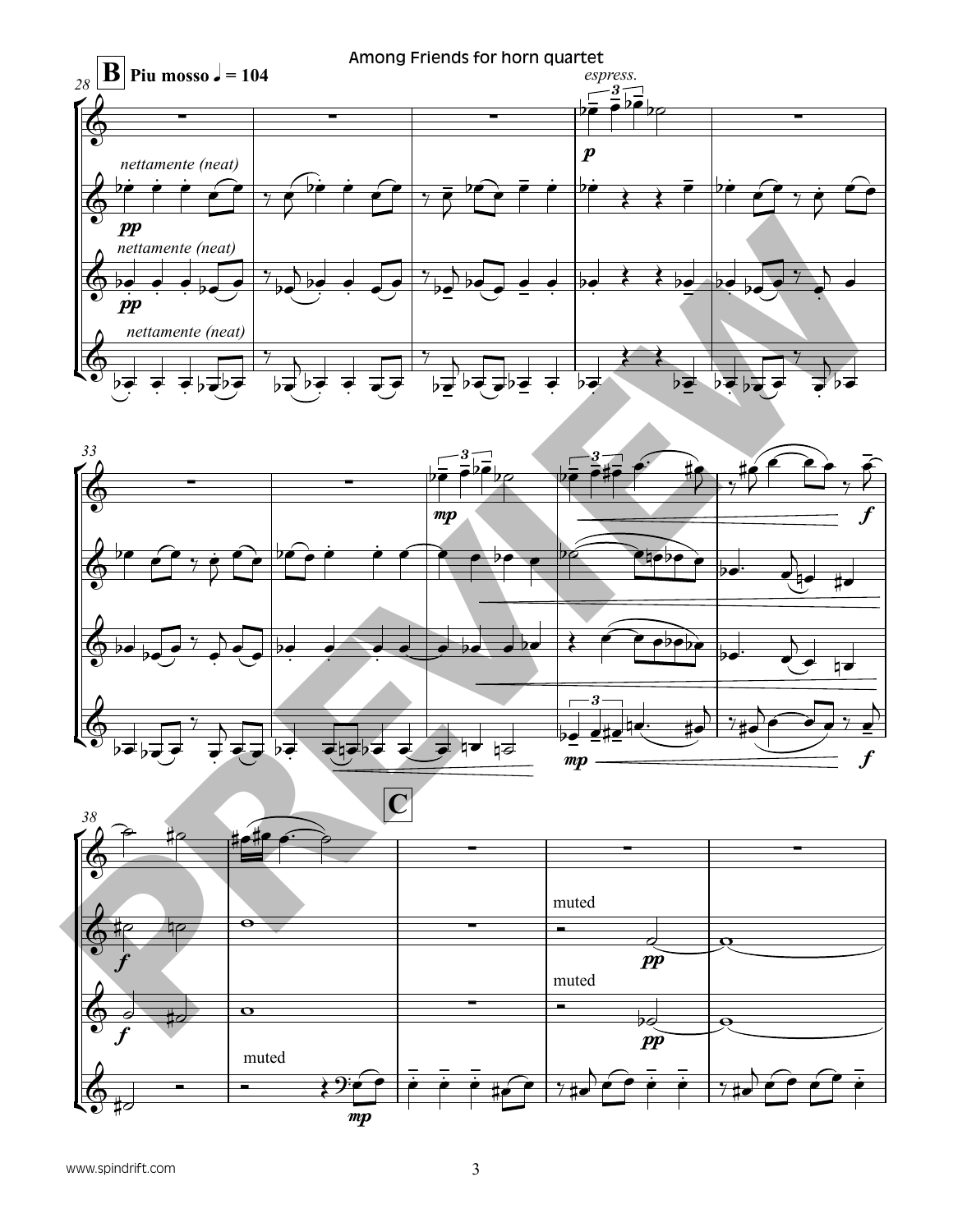



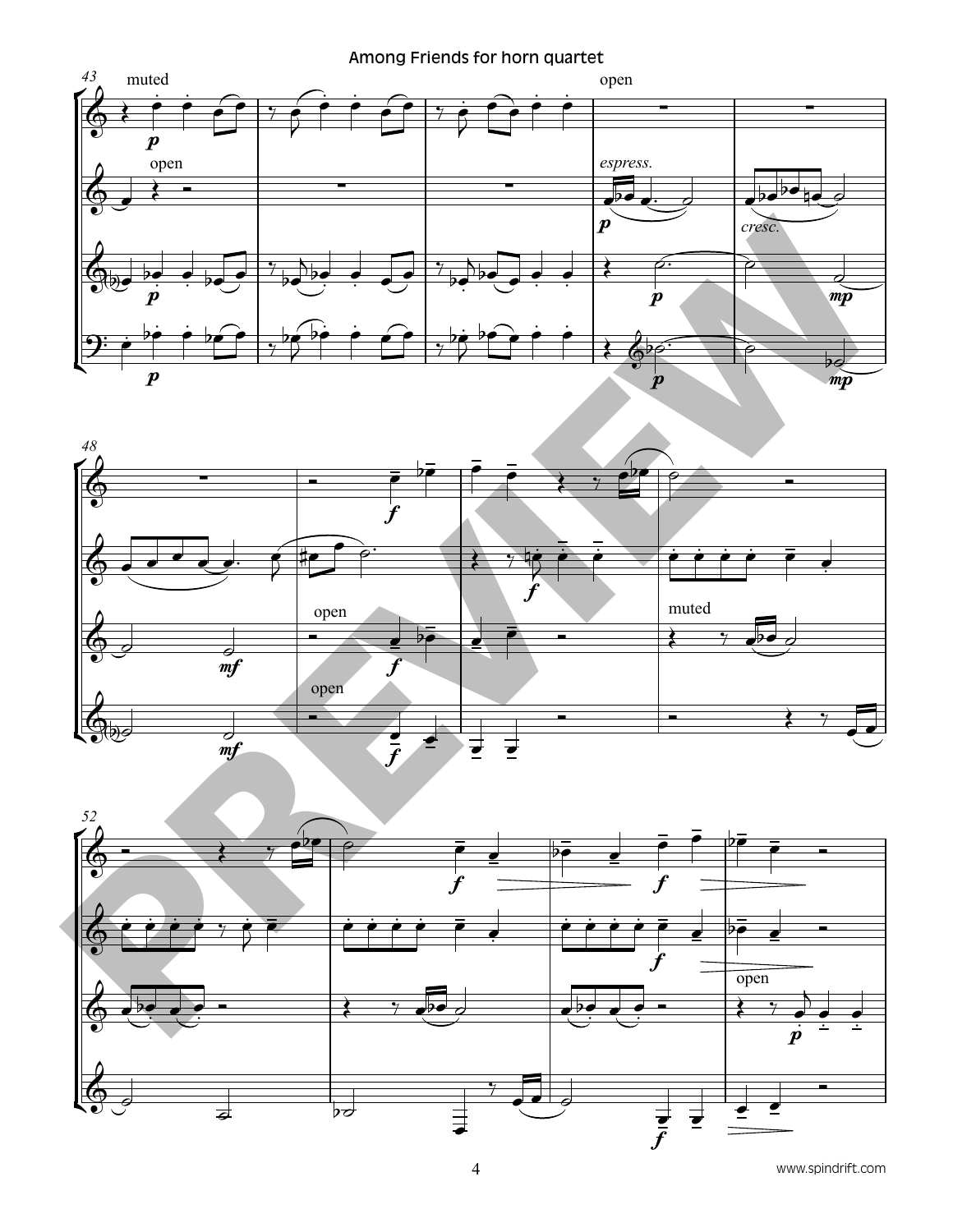Among Friends for horn quartet





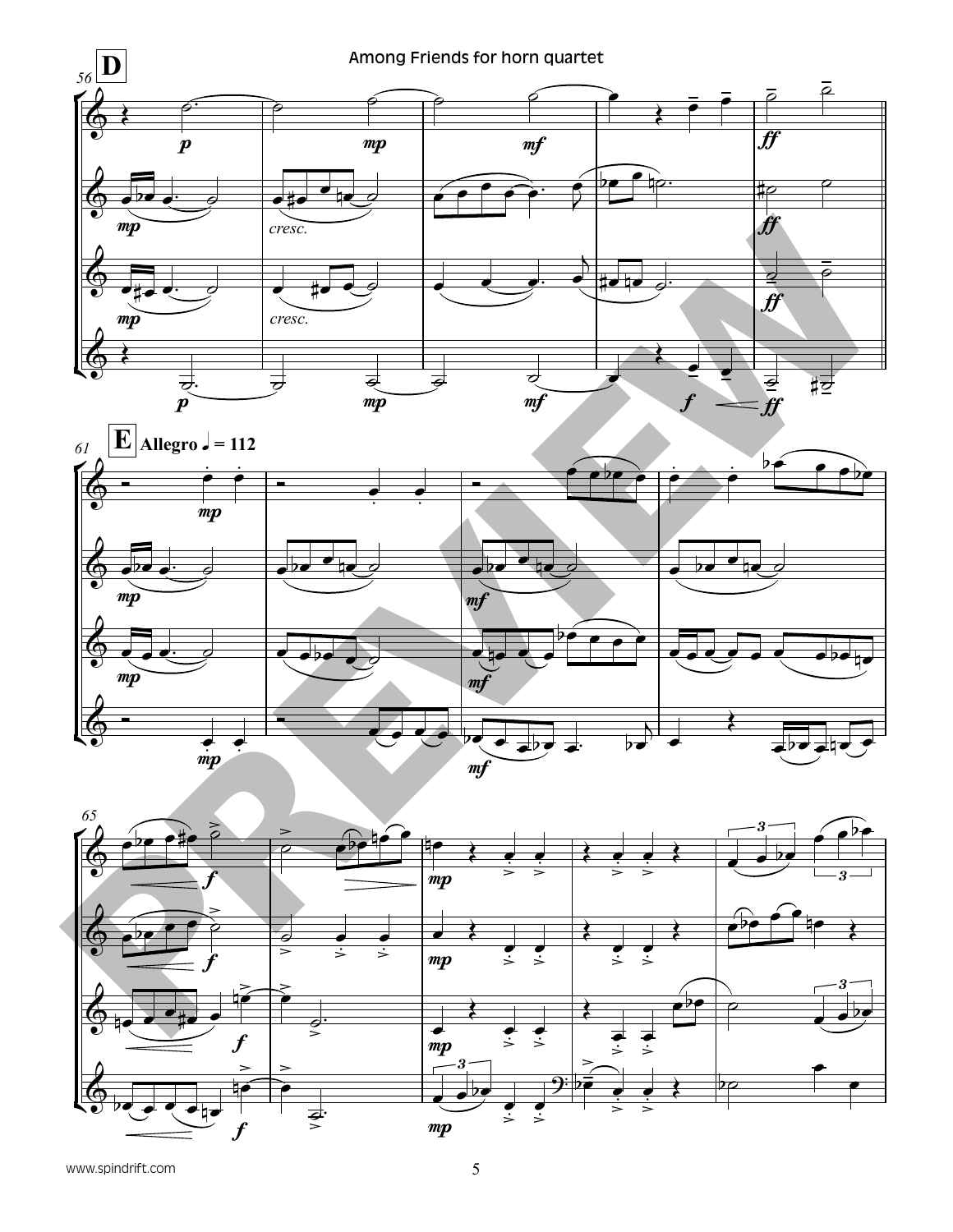



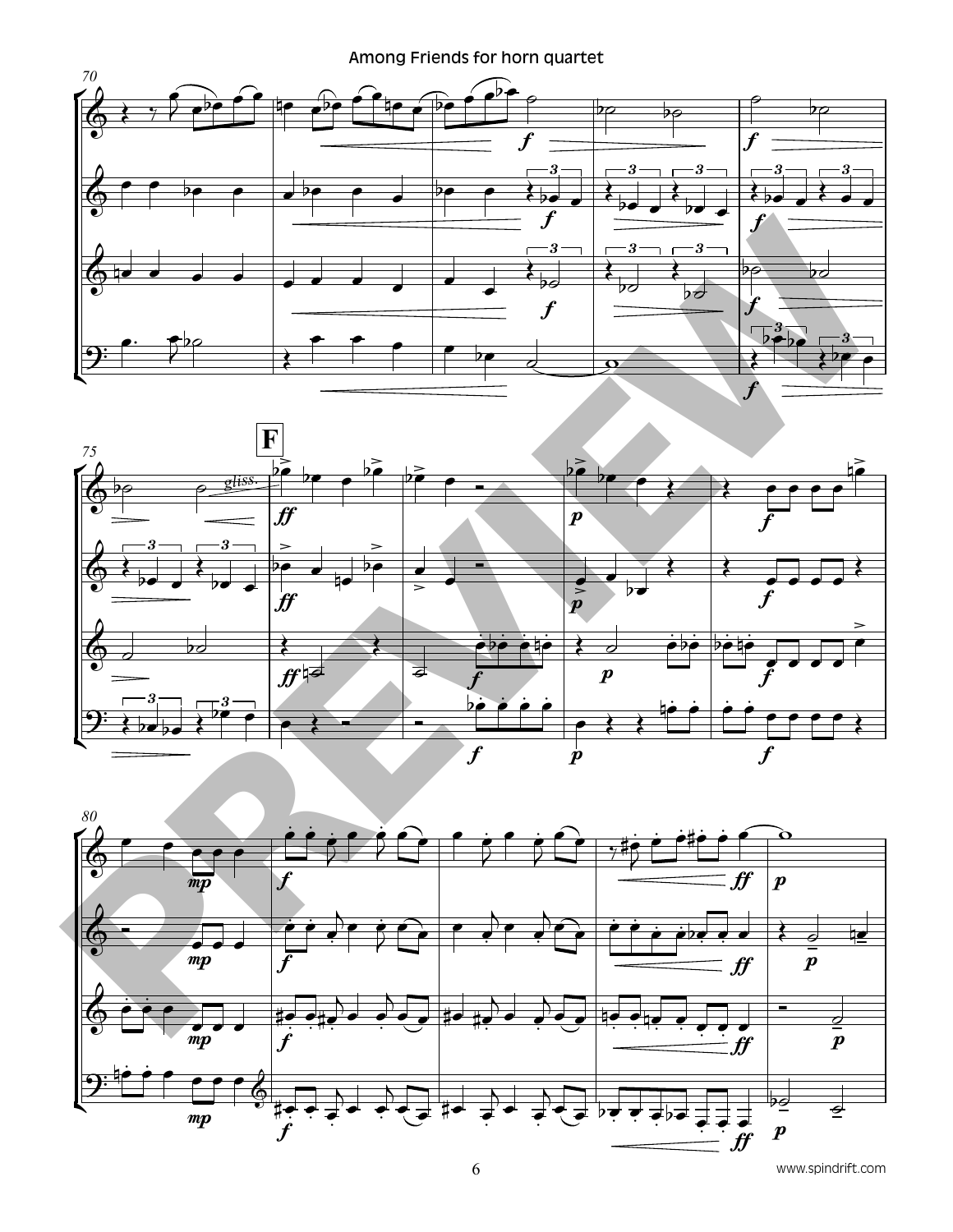Among Friends for horn quartet







www.spindrift.com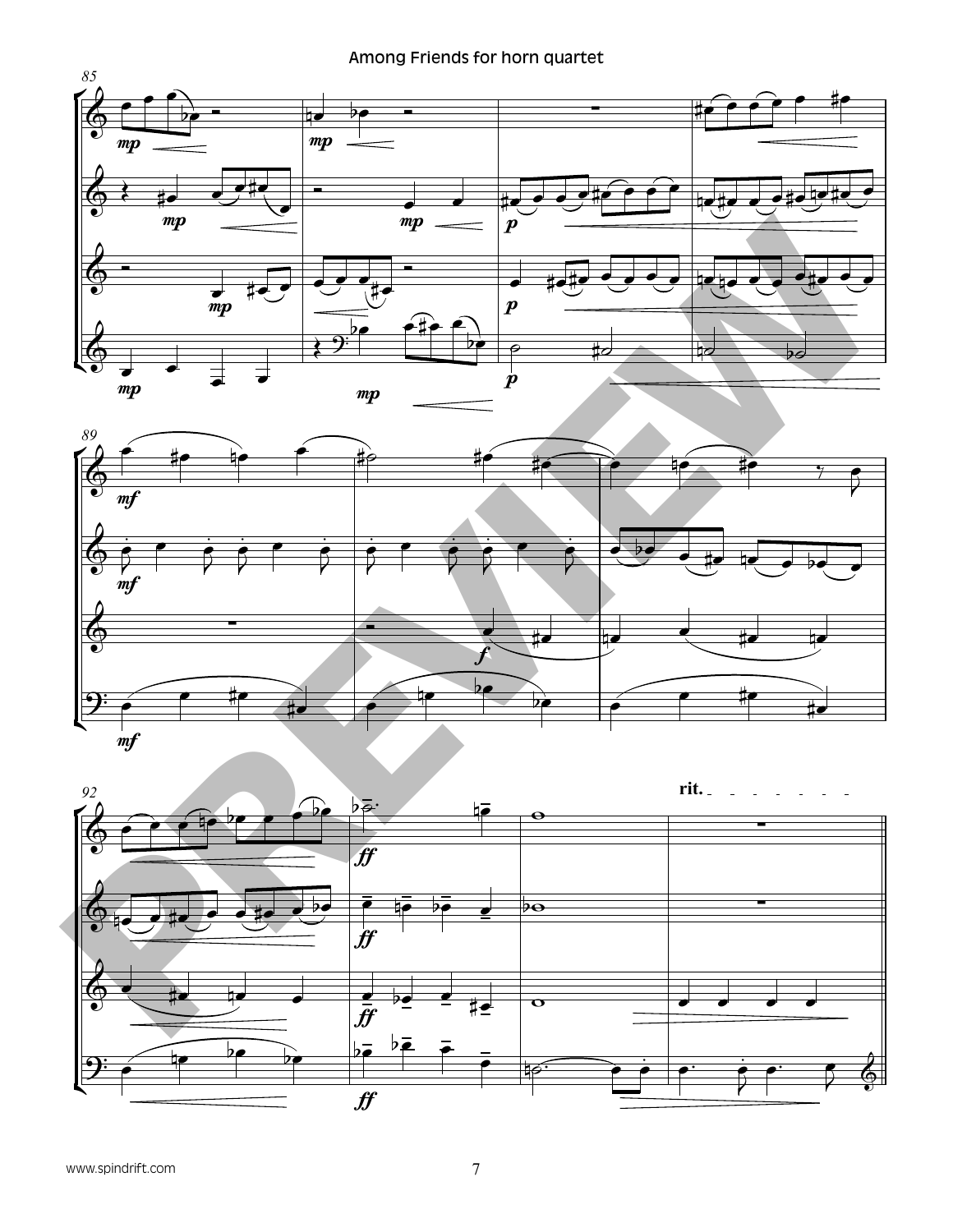Among Friends for horn quartet





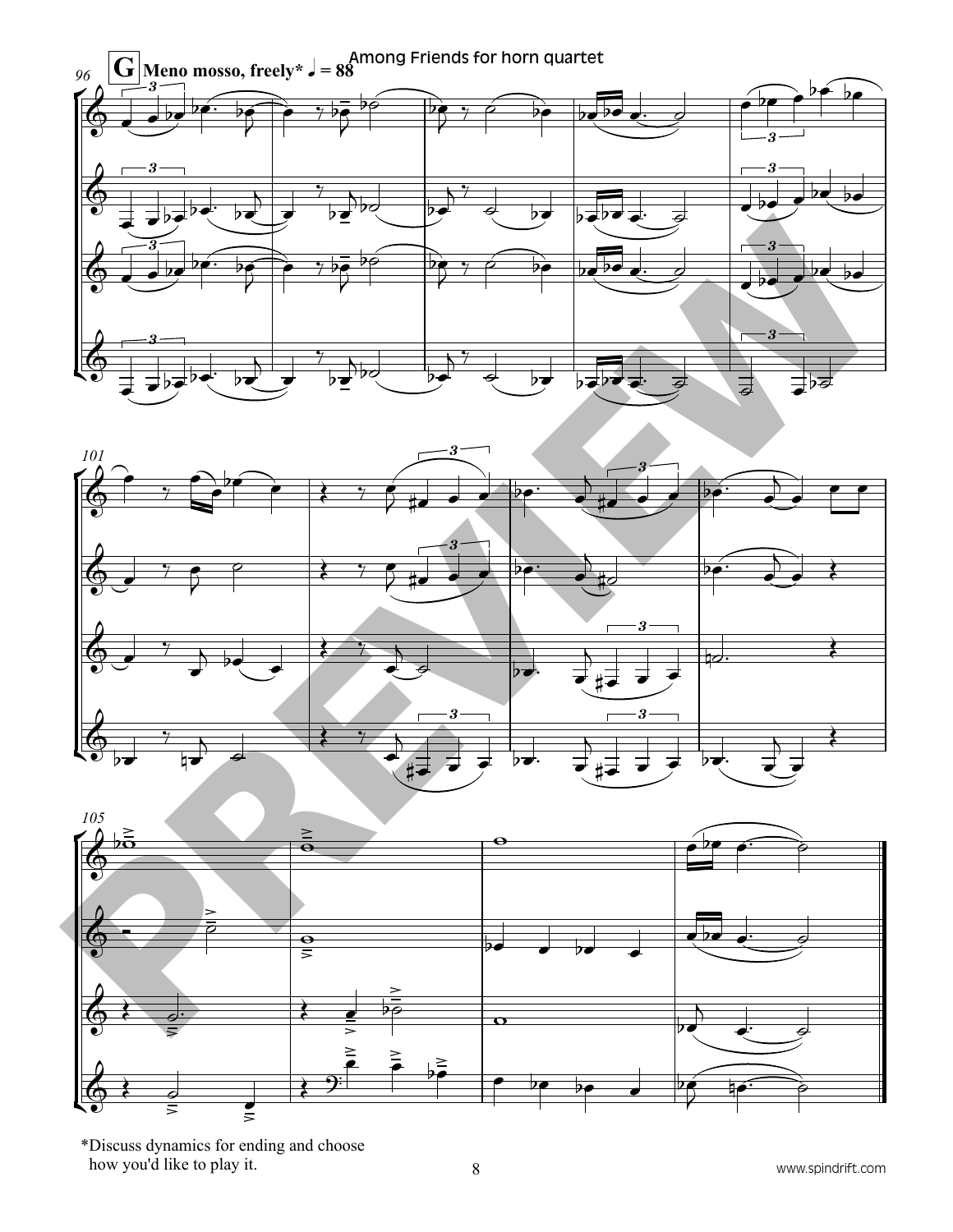





\*Discuss dynamics for ending and choose how you'd like to play it.